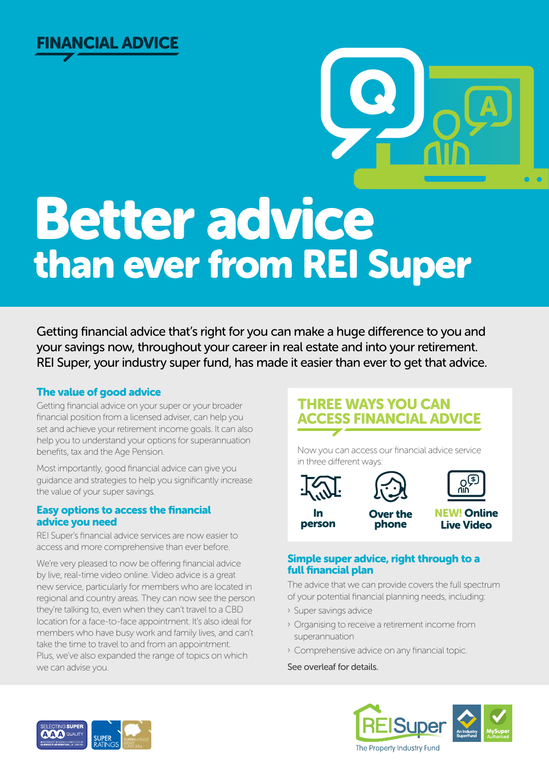



# Better advice than ever from REI Super

Getting financial advice that's right for you can make a huge difference to you and your savings now, throughout your career in real estate and into your retirement. REI Super, your industry super fund, has made it easier than ever to get that advice.

# The value of good advice

Getting financial advice on your super or your broader financial position from a licensed adviser, can help you set and achieve your retirement income goals. It can also help you to understand your options for superannuation benefits, tax and the Age Pension.

Most importantly, good financial advice can give you guidance and strategies to help you significantly increase the value of your super savings.

## Easy options to access the financial advice you need

REI Super's financial advice services are now easier to access and more comprehensive than ever before.

We're very pleased to now be offering financial advice by live, real-time video online. Video advice is a great new service, particularly for members who are located in regional and country areas. They can now see the person they're talking to, even when they can't travel to a CBD location for a face-to-face appointment. It's also ideal for members who have busy work and family lives, and can't take the time to travel to and from an appointment. Plus, we've also expanded the range of topics on which we can advise you.

# THREE WAYS YOU CAN ACCESS FINANCIAL ADVICE

Now you can access our financial advice service in three different ways:

In



Over the phone



person

NEW! Online Live Video

# Simple super advice, right through to a full financial plan

The advice that we can provide covers the full spectrum of your potential financial planning needs, including:

- › Super savings advice
- › Organising to receive a retirement income from superannuation
- › Comprehensive advice on any financial topic.

See overleaf for details.